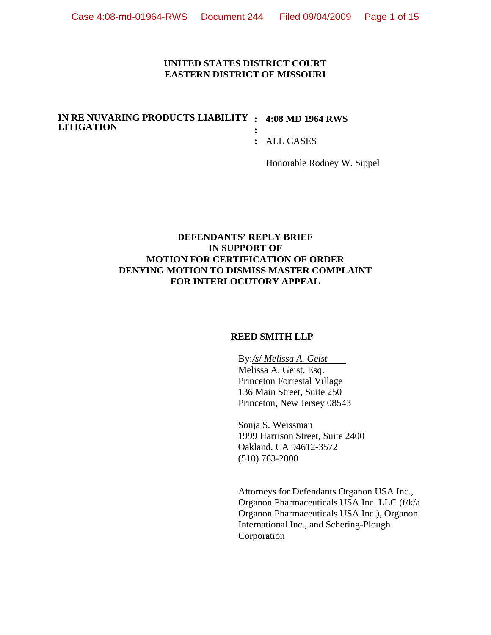### **UNITED STATES DISTRICT COURT EASTERN DISTRICT OF MISSOURI**

#### **IN RE NUVARING PRODUCTS LIABILITY : 4:08 MD 1964 RWS LITIGATION :**

**:** ALL CASES

Honorable Rodney W. Sippel

## **DEFENDANTS' REPLY BRIEF IN SUPPORT OF MOTION FOR CERTIFICATION OF ORDER DENYING MOTION TO DISMISS MASTER COMPLAINT FOR INTERLOCUTORY APPEAL**

## **REED SMITH LLP**

 By: */s*/ *Melissa A. Geist*  Melissa A. Geist, Esq. Princeton Forrestal Village 136 Main Street, Suite 250 Princeton, New Jersey 08543

 Sonja S. Weissman 1999 Harrison Street, Suite 2400 Oakland, CA 94612-3572 (510) 763-2000

Attorneys for Defendants Organon USA Inc., Organon Pharmaceuticals USA Inc. LLC (f/k/a Organon Pharmaceuticals USA Inc.), Organon International Inc., and Schering-Plough Corporation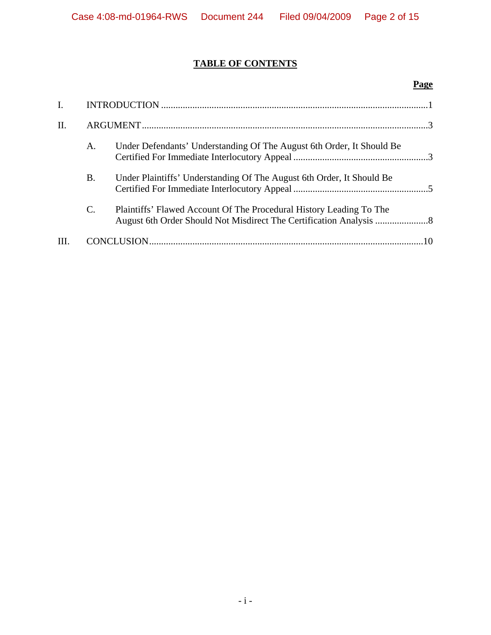## **TABLE OF CONTENTS**

## **Page**

| $\mathbf{I}$ . |           |                                                                       |  |
|----------------|-----------|-----------------------------------------------------------------------|--|
| II.            |           |                                                                       |  |
|                | A.        | Under Defendants' Understanding Of The August 6th Order, It Should Be |  |
|                | <b>B.</b> | Under Plaintiffs' Understanding Of The August 6th Order, It Should Be |  |
|                | C.        | Plaintiffs' Flawed Account Of The Procedural History Leading To The   |  |
|                |           |                                                                       |  |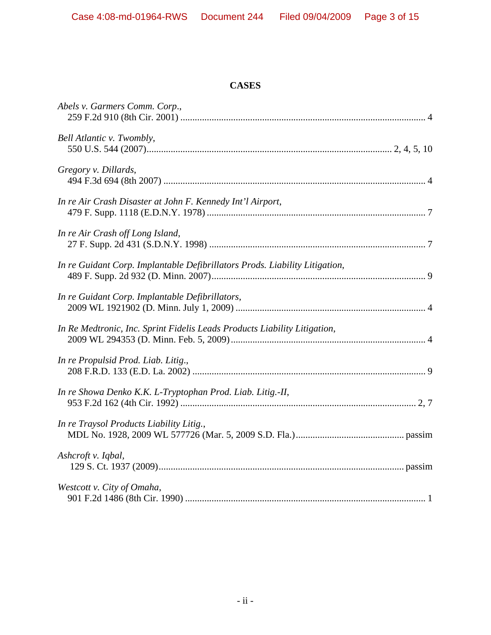## **CASES**

| Abels v. Garmers Comm. Corp.,                                               |
|-----------------------------------------------------------------------------|
| Bell Atlantic v. Twombly,                                                   |
| Gregory v. Dillards,                                                        |
| In re Air Crash Disaster at John F. Kennedy Int'l Airport,                  |
| In re Air Crash off Long Island,                                            |
| In re Guidant Corp. Implantable Defibrillators Prods. Liability Litigation, |
| In re Guidant Corp. Implantable Defibrillators,                             |
| In Re Medtronic, Inc. Sprint Fidelis Leads Products Liability Litigation,   |
| In re Propulsid Prod. Liab. Litig.,                                         |
| In re Showa Denko K.K. L-Tryptophan Prod. Liab. Litig.-II,                  |
| In re Traysol Products Liability Litig.,                                    |
| Ashcroft v. Iqbal,                                                          |
| Westcott v. City of Omaha,                                                  |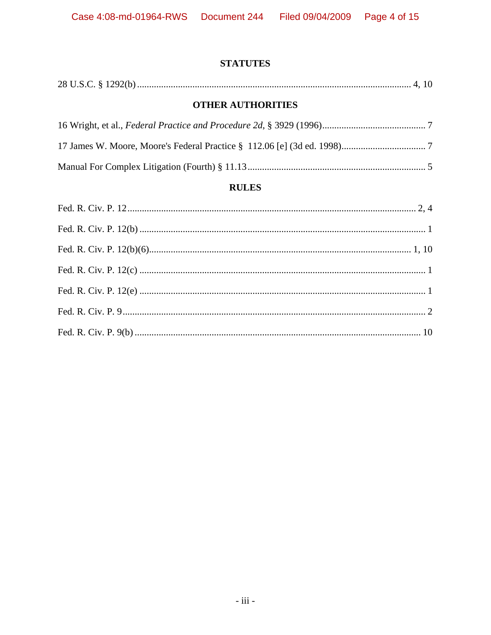## **STATUTES**

|--|--|--|--|

## **OTHER AUTHORITIES**

## **RULES**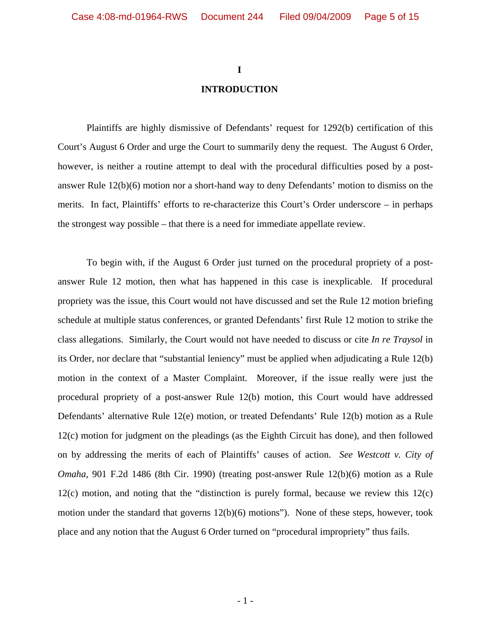# **I INTRODUCTION**

Plaintiffs are highly dismissive of Defendants' request for 1292(b) certification of this Court's August 6 Order and urge the Court to summarily deny the request. The August 6 Order, however, is neither a routine attempt to deal with the procedural difficulties posed by a postanswer Rule 12(b)(6) motion nor a short-hand way to deny Defendants' motion to dismiss on the merits. In fact, Plaintiffs' efforts to re-characterize this Court's Order underscore – in perhaps the strongest way possible – that there is a need for immediate appellate review.

To begin with, if the August 6 Order just turned on the procedural propriety of a postanswer Rule 12 motion, then what has happened in this case is inexplicable. If procedural propriety was the issue, this Court would not have discussed and set the Rule 12 motion briefing schedule at multiple status conferences, or granted Defendants' first Rule 12 motion to strike the class allegations. Similarly, the Court would not have needed to discuss or cite *In re Traysol* in its Order, nor declare that "substantial leniency" must be applied when adjudicating a Rule 12(b) motion in the context of a Master Complaint. Moreover, if the issue really were just the procedural propriety of a post-answer Rule 12(b) motion, this Court would have addressed Defendants' alternative Rule 12(e) motion, or treated Defendants' Rule 12(b) motion as a Rule 12(c) motion for judgment on the pleadings (as the Eighth Circuit has done), and then followed on by addressing the merits of each of Plaintiffs' causes of action. *See Westcott v. City of Omaha*, 901 F.2d 1486 (8th Cir. 1990) (treating post-answer Rule 12(b)(6) motion as a Rule 12(c) motion, and noting that the "distinction is purely formal, because we review this 12(c) motion under the standard that governs  $12(b)(6)$  motions"). None of these steps, however, took place and any notion that the August 6 Order turned on "procedural impropriety" thus fails.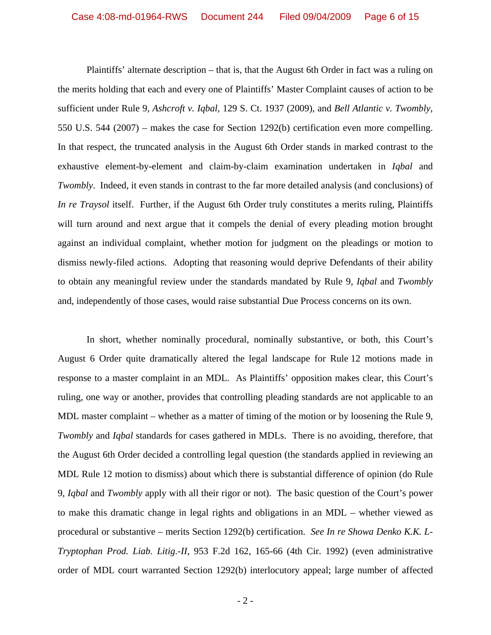Plaintiffs' alternate description – that is, that the August 6th Order in fact was a ruling on the merits holding that each and every one of Plaintiffs' Master Complaint causes of action to be sufficient under Rule 9, *Ashcroft v. Iqbal,* 129 S. Ct. 1937 (2009), and *Bell Atlantic v. Twombly*, 550 U.S. 544 (2007) – makes the case for Section 1292(b) certification even more compelling. In that respect, the truncated analysis in the August 6th Order stands in marked contrast to the exhaustive element-by-element and claim-by-claim examination undertaken in *Iqbal* and *Twombly*. Indeed, it even stands in contrast to the far more detailed analysis (and conclusions) of *In re Traysol* itself. Further, if the August 6th Order truly constitutes a merits ruling, Plaintiffs will turn around and next argue that it compels the denial of every pleading motion brought against an individual complaint, whether motion for judgment on the pleadings or motion to dismiss newly-filed actions. Adopting that reasoning would deprive Defendants of their ability to obtain any meaningful review under the standards mandated by Rule 9, *Iqbal* and *Twombly* and, independently of those cases, would raise substantial Due Process concerns on its own.

In short, whether nominally procedural, nominally substantive, or both, this Court's August 6 Order quite dramatically altered the legal landscape for Rule 12 motions made in response to a master complaint in an MDL. As Plaintiffs' opposition makes clear, this Court's ruling, one way or another, provides that controlling pleading standards are not applicable to an MDL master complaint – whether as a matter of timing of the motion or by loosening the Rule 9, *Twombly* and *Iqbal* standards for cases gathered in MDLs. There is no avoiding, therefore, that the August 6th Order decided a controlling legal question (the standards applied in reviewing an MDL Rule 12 motion to dismiss) about which there is substantial difference of opinion (do Rule 9, *Iqbal* and *Twombly* apply with all their rigor or not). The basic question of the Court's power to make this dramatic change in legal rights and obligations in an MDL – whether viewed as procedural or substantive – merits Section 1292(b) certification. *See In re Showa Denko K.K. L-Tryptophan Prod. Liab. Litig.-II*, 953 F.2d 162, 165-66 (4th Cir. 1992) (even administrative order of MDL court warranted Section 1292(b) interlocutory appeal; large number of affected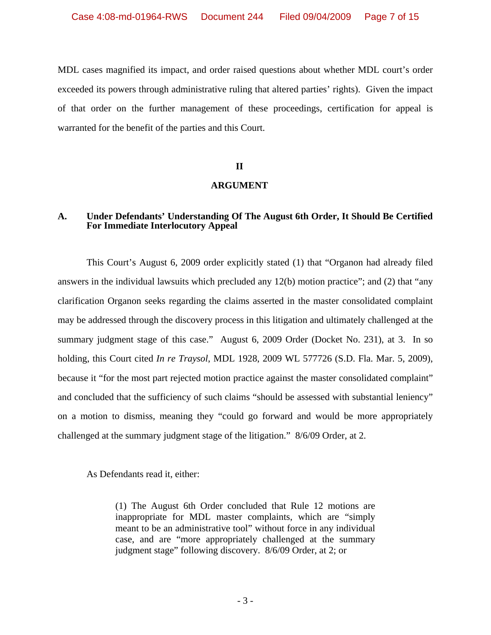MDL cases magnified its impact, and order raised questions about whether MDL court's order exceeded its powers through administrative ruling that altered parties' rights). Given the impact of that order on the further management of these proceedings, certification for appeal is warranted for the benefit of the parties and this Court.

#### **II**

### **ARGUMENT**

## **A. Under Defendants' Understanding Of The August 6th Order, It Should Be Certified For Immediate Interlocutory Appeal**

This Court's August 6, 2009 order explicitly stated (1) that "Organon had already filed answers in the individual lawsuits which precluded any 12(b) motion practice"; and (2) that "any clarification Organon seeks regarding the claims asserted in the master consolidated complaint may be addressed through the discovery process in this litigation and ultimately challenged at the summary judgment stage of this case." August 6, 2009 Order (Docket No. 231), at 3. In so holding, this Court cited *In re Traysol*, MDL 1928, 2009 WL 577726 (S.D. Fla. Mar. 5, 2009), because it "for the most part rejected motion practice against the master consolidated complaint" and concluded that the sufficiency of such claims "should be assessed with substantial leniency" on a motion to dismiss, meaning they "could go forward and would be more appropriately challenged at the summary judgment stage of the litigation." 8/6/09 Order, at 2.

As Defendants read it, either:

(1) The August 6th Order concluded that Rule 12 motions are inappropriate for MDL master complaints, which are "simply meant to be an administrative tool" without force in any individual case, and are "more appropriately challenged at the summary judgment stage" following discovery. 8/6/09 Order, at 2; or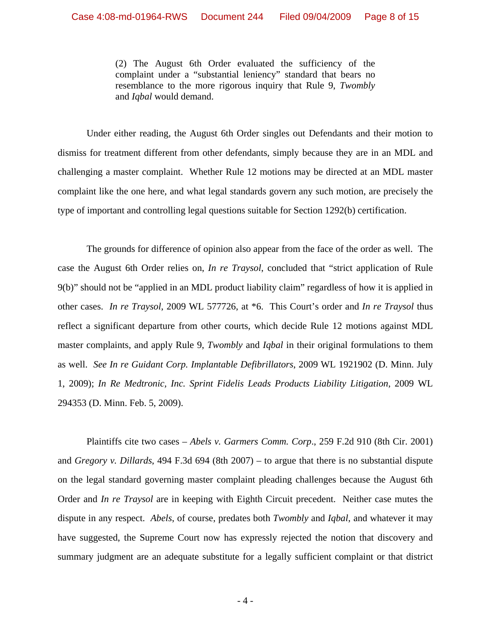(2) The August 6th Order evaluated the sufficiency of the complaint under a "substantial leniency" standard that bears no resemblance to the more rigorous inquiry that Rule 9, *Twombly* and *Iqbal* would demand.

Under either reading, the August 6th Order singles out Defendants and their motion to dismiss for treatment different from other defendants, simply because they are in an MDL and challenging a master complaint. Whether Rule 12 motions may be directed at an MDL master complaint like the one here, and what legal standards govern any such motion, are precisely the type of important and controlling legal questions suitable for Section 1292(b) certification.

The grounds for difference of opinion also appear from the face of the order as well. The case the August 6th Order relies on, *In re Traysol*, concluded that "strict application of Rule 9(b)" should not be "applied in an MDL product liability claim" regardless of how it is applied in other cases. *In re Traysol*, 2009 WL 577726, at \*6. This Court's order and *In re Traysol* thus reflect a significant departure from other courts, which decide Rule 12 motions against MDL master complaints, and apply Rule 9, *Twombly* and *Iqbal* in their original formulations to them as well. *See In re Guidant Corp. Implantable Defibrillators*, 2009 WL 1921902 (D. Minn. July 1, 2009); *In Re Medtronic, Inc. Sprint Fidelis Leads Products Liability Litigation*, 2009 WL 294353 (D. Minn. Feb. 5, 2009).

Plaintiffs cite two cases – *Abels v. Garmers Comm. Corp*., 259 F.2d 910 (8th Cir. 2001) and *Gregory v. Dillards*, 494 F.3d 694 (8th 2007) – to argue that there is no substantial dispute on the legal standard governing master complaint pleading challenges because the August 6th Order and *In re Traysol* are in keeping with Eighth Circuit precedent. Neither case mutes the dispute in any respect. *Abels*, of course, predates both *Twombly* and *Iqbal*, and whatever it may have suggested, the Supreme Court now has expressly rejected the notion that discovery and summary judgment are an adequate substitute for a legally sufficient complaint or that district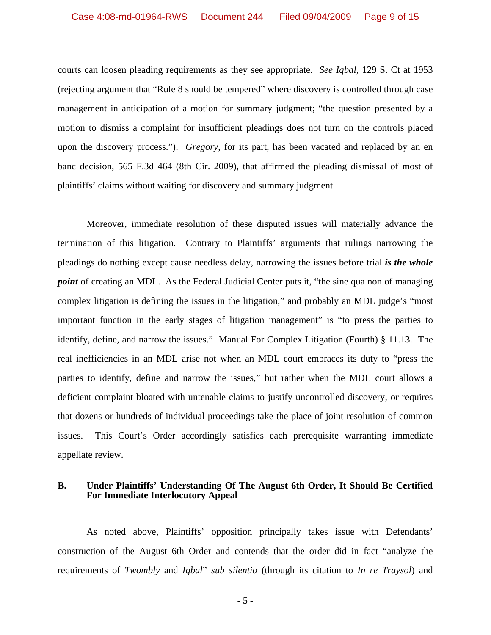courts can loosen pleading requirements as they see appropriate. *See Iqbal*, 129 S. Ct at 1953 (rejecting argument that "Rule 8 should be tempered" where discovery is controlled through case management in anticipation of a motion for summary judgment; "the question presented by a motion to dismiss a complaint for insufficient pleadings does not turn on the controls placed upon the discovery process."). *Gregory*, for its part, has been vacated and replaced by an en banc decision, 565 F.3d 464 (8th Cir. 2009), that affirmed the pleading dismissal of most of plaintiffs' claims without waiting for discovery and summary judgment.

Moreover, immediate resolution of these disputed issues will materially advance the termination of this litigation. Contrary to Plaintiffs' arguments that rulings narrowing the pleadings do nothing except cause needless delay, narrowing the issues before trial *is the whole point* of creating an MDL. As the Federal Judicial Center puts it, "the sine qua non of managing complex litigation is defining the issues in the litigation," and probably an MDL judge's "most important function in the early stages of litigation management" is "to press the parties to identify, define, and narrow the issues." Manual For Complex Litigation (Fourth) § 11.13. The real inefficiencies in an MDL arise not when an MDL court embraces its duty to "press the parties to identify, define and narrow the issues," but rather when the MDL court allows a deficient complaint bloated with untenable claims to justify uncontrolled discovery, or requires that dozens or hundreds of individual proceedings take the place of joint resolution of common issues. This Court's Order accordingly satisfies each prerequisite warranting immediate appellate review.

### **B. Under Plaintiffs' Understanding Of The August 6th Order, It Should Be Certified For Immediate Interlocutory Appeal**

As noted above, Plaintiffs' opposition principally takes issue with Defendants' construction of the August 6th Order and contends that the order did in fact "analyze the requirements of *Twombly* and *Iqbal*" *sub silentio* (through its citation to *In re Traysol*) and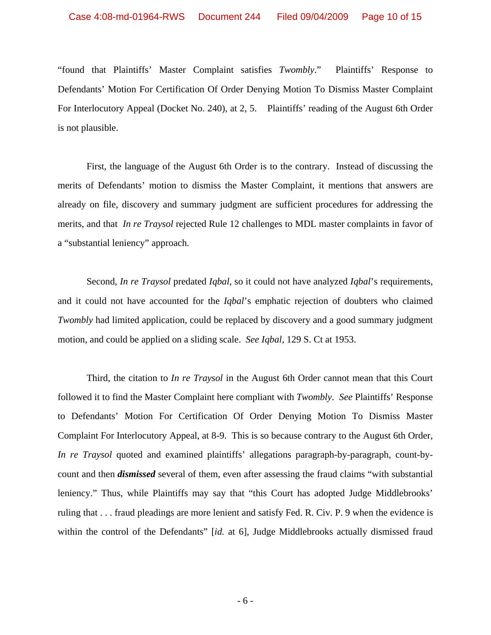"found that Plaintiffs' Master Complaint satisfies *Twombly*." Plaintiffs' Response to Defendants' Motion For Certification Of Order Denying Motion To Dismiss Master Complaint For Interlocutory Appeal (Docket No. 240), at 2, 5. Plaintiffs' reading of the August 6th Order is not plausible.

First, the language of the August 6th Order is to the contrary. Instead of discussing the merits of Defendants' motion to dismiss the Master Complaint, it mentions that answers are already on file, discovery and summary judgment are sufficient procedures for addressing the merits, and that *In re Traysol* rejected Rule 12 challenges to MDL master complaints in favor of a "substantial leniency" approach.

Second, *In re Traysol* predated *Iqbal*, so it could not have analyzed *Iqbal*'s requirements, and it could not have accounted for the *Iqbal*'s emphatic rejection of doubters who claimed *Twombly* had limited application, could be replaced by discovery and a good summary judgment motion, and could be applied on a sliding scale. *See Iqbal*, 129 S. Ct at 1953.

Third, the citation to *In re Traysol* in the August 6th Order cannot mean that this Court followed it to find the Master Complaint here compliant with *Twombly*. *See* Plaintiffs' Response to Defendants' Motion For Certification Of Order Denying Motion To Dismiss Master Complaint For Interlocutory Appeal, at 8-9. This is so because contrary to the August 6th Order, *In re Traysol* quoted and examined plaintiffs' allegations paragraph-by-paragraph, count-bycount and then *dismissed* several of them, even after assessing the fraud claims "with substantial leniency." Thus, while Plaintiffs may say that "this Court has adopted Judge Middlebrooks' ruling that . . . fraud pleadings are more lenient and satisfy Fed. R. Civ. P. 9 when the evidence is within the control of the Defendants" [*id.* at 6], Judge Middlebrooks actually dismissed fraud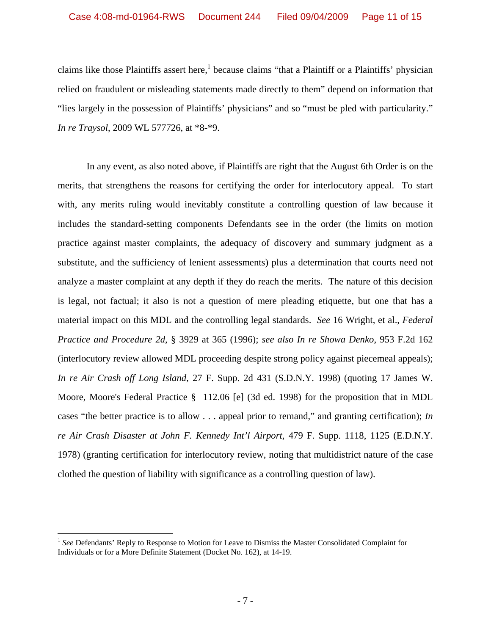claims like those Plaintiffs assert here,<sup>1</sup> because claims "that a Plaintiff or a Plaintiffs' physician relied on fraudulent or misleading statements made directly to them" depend on information that "lies largely in the possession of Plaintiffs' physicians" and so "must be pled with particularity." *In re Traysol*, 2009 WL 577726, at \*8-\*9.

In any event, as also noted above, if Plaintiffs are right that the August 6th Order is on the merits, that strengthens the reasons for certifying the order for interlocutory appeal. To start with, any merits ruling would inevitably constitute a controlling question of law because it includes the standard-setting components Defendants see in the order (the limits on motion practice against master complaints, the adequacy of discovery and summary judgment as a substitute, and the sufficiency of lenient assessments) plus a determination that courts need not analyze a master complaint at any depth if they do reach the merits. The nature of this decision is legal, not factual; it also is not a question of mere pleading etiquette, but one that has a material impact on this MDL and the controlling legal standards. *See* 16 Wright, et al., *Federal Practice and Procedure 2d*, § 3929 at 365 (1996); *see also In re Showa Denko*, 953 F.2d 162 (interlocutory review allowed MDL proceeding despite strong policy against piecemeal appeals); *In re Air Crash off Long Island*, 27 F. Supp. 2d 431 (S.D.N.Y. 1998) (quoting 17 James W. Moore, Moore's Federal Practice § 112.06 [e] (3d ed. 1998) for the proposition that in MDL cases "the better practice is to allow . . . appeal prior to remand," and granting certification); *In re Air Crash Disaster at John F. Kennedy Int'l Airport*, 479 F. Supp. 1118, 1125 (E.D.N.Y. 1978) (granting certification for interlocutory review, noting that multidistrict nature of the case clothed the question of liability with significance as a controlling question of law).

 $\overline{a}$ 

<sup>&</sup>lt;sup>1</sup> See Defendants' Reply to Response to Motion for Leave to Dismiss the Master Consolidated Complaint for Individuals or for a More Definite Statement (Docket No. 162), at 14-19.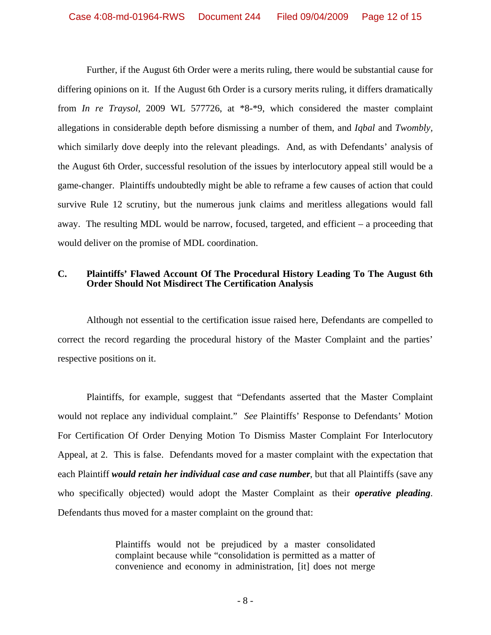Further, if the August 6th Order were a merits ruling, there would be substantial cause for differing opinions on it. If the August 6th Order is a cursory merits ruling, it differs dramatically from *In re Traysol*, 2009 WL 577726, at \*8-\*9, which considered the master complaint allegations in considerable depth before dismissing a number of them, and *Iqbal* and *Twombly,* which similarly dove deeply into the relevant pleadings. And, as with Defendants' analysis of the August 6th Order, successful resolution of the issues by interlocutory appeal still would be a game-changer. Plaintiffs undoubtedly might be able to reframe a few causes of action that could survive Rule 12 scrutiny, but the numerous junk claims and meritless allegations would fall away. The resulting MDL would be narrow, focused, targeted, and efficient – a proceeding that would deliver on the promise of MDL coordination.

## **C. Plaintiffs' Flawed Account Of The Procedural History Leading To The August 6th Order Should Not Misdirect The Certification Analysis**

Although not essential to the certification issue raised here, Defendants are compelled to correct the record regarding the procedural history of the Master Complaint and the parties' respective positions on it.

Plaintiffs, for example, suggest that "Defendants asserted that the Master Complaint would not replace any individual complaint." *See* Plaintiffs' Response to Defendants' Motion For Certification Of Order Denying Motion To Dismiss Master Complaint For Interlocutory Appeal, at 2. This is false. Defendants moved for a master complaint with the expectation that each Plaintiff *would retain her individual case and case number*, but that all Plaintiffs (save any who specifically objected) would adopt the Master Complaint as their *operative pleading*. Defendants thus moved for a master complaint on the ground that:

> Plaintiffs would not be prejudiced by a master consolidated complaint because while "consolidation is permitted as a matter of convenience and economy in administration, [it] does not merge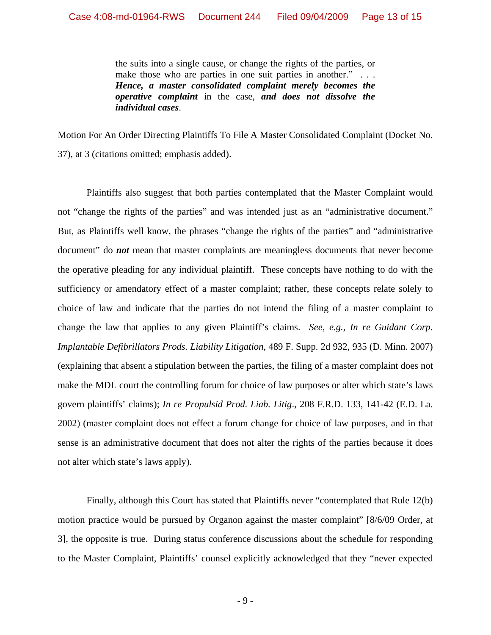the suits into a single cause, or change the rights of the parties, or make those who are parties in one suit parties in another." ... *Hence, a master consolidated complaint merely becomes the operative complaint* in the case, *and does not dissolve the individual cases*.

Motion For An Order Directing Plaintiffs To File A Master Consolidated Complaint (Docket No. 37), at 3 (citations omitted; emphasis added).

Plaintiffs also suggest that both parties contemplated that the Master Complaint would not "change the rights of the parties" and was intended just as an "administrative document." But, as Plaintiffs well know, the phrases "change the rights of the parties" and "administrative document" do *not* mean that master complaints are meaningless documents that never become the operative pleading for any individual plaintiff. These concepts have nothing to do with the sufficiency or amendatory effect of a master complaint; rather, these concepts relate solely to choice of law and indicate that the parties do not intend the filing of a master complaint to change the law that applies to any given Plaintiff's claims. *See, e.g., In re Guidant Corp. Implantable Defibrillators Prods. Liability Litigation*, 489 F. Supp. 2d 932, 935 (D. Minn. 2007) (explaining that absent a stipulation between the parties, the filing of a master complaint does not make the MDL court the controlling forum for choice of law purposes or alter which state's laws govern plaintiffs' claims); *In re Propulsid Prod. Liab. Litig*., 208 F.R.D. 133, 141-42 (E.D. La. 2002) (master complaint does not effect a forum change for choice of law purposes, and in that sense is an administrative document that does not alter the rights of the parties because it does not alter which state's laws apply).

Finally, although this Court has stated that Plaintiffs never "contemplated that Rule 12(b) motion practice would be pursued by Organon against the master complaint" [8/6/09 Order, at 3], the opposite is true. During status conference discussions about the schedule for responding to the Master Complaint, Plaintiffs' counsel explicitly acknowledged that they "never expected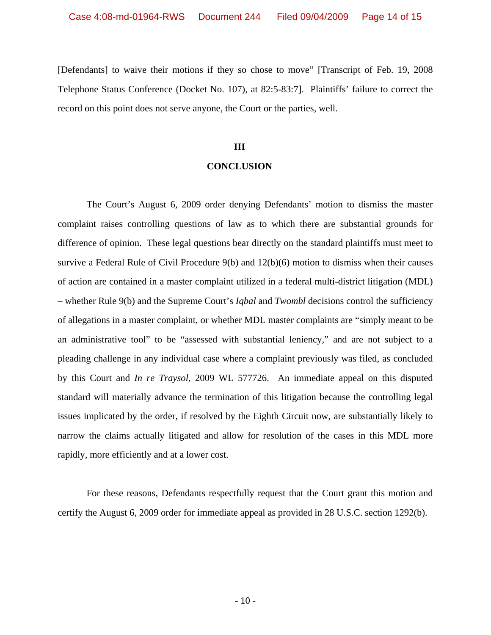[Defendants] to waive their motions if they so chose to move" [Transcript of Feb. 19, 2008 Telephone Status Conference (Docket No. 107), at 82:5-83:7]. Plaintiffs' failure to correct the record on this point does not serve anyone, the Court or the parties, well.

#### **III**

#### **CONCLUSION**

The Court's August 6, 2009 order denying Defendants' motion to dismiss the master complaint raises controlling questions of law as to which there are substantial grounds for difference of opinion. These legal questions bear directly on the standard plaintiffs must meet to survive a Federal Rule of Civil Procedure 9(b) and 12(b)(6) motion to dismiss when their causes of action are contained in a master complaint utilized in a federal multi-district litigation (MDL) – whether Rule 9(b) and the Supreme Court's *Iqbal* and *Twombl* decisions control the sufficiency of allegations in a master complaint, or whether MDL master complaints are "simply meant to be an administrative tool" to be "assessed with substantial leniency," and are not subject to a pleading challenge in any individual case where a complaint previously was filed, as concluded by this Court and *In re Traysol*, 2009 WL 577726. An immediate appeal on this disputed standard will materially advance the termination of this litigation because the controlling legal issues implicated by the order, if resolved by the Eighth Circuit now, are substantially likely to narrow the claims actually litigated and allow for resolution of the cases in this MDL more rapidly, more efficiently and at a lower cost.

For these reasons, Defendants respectfully request that the Court grant this motion and certify the August 6, 2009 order for immediate appeal as provided in 28 U.S.C. section 1292(b).